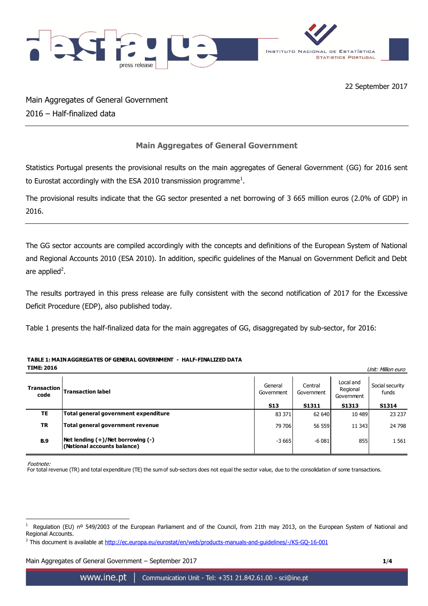

22 September 2017

Main Aggregates of General Government 2016 – Half-finalized data

## **Main Aggregates of General Government**

Statistics Portugal presents the provisional results on the main aggregates of General Government (GG) for 2016 sent to Eurostat accordingly with the ESA 2010 transmission programme<sup>1</sup>.

The provisional results indicate that the GG sector presented a net borrowing of 3 665 million euros (2.0% of GDP) in 2016.

The GG sector accounts are compiled accordingly with the concepts and definitions of the European System of National and Regional Accounts 2010 (ESA 2010). In addition, specific guidelines of the Manual on Government Deficit and Debt are applied<sup>2</sup>.

The results portrayed in this press release are fully consistent with the second notification of 2017 for the Excessive Deficit Procedure (EDP), also published today.

Table 1 presents the half-finalized data for the main aggregates of GG, disaggregated by sub-sector, for 2016:

## **TABLE 1: MAIN AGGREGATES OF GENERAL GOVERNMENT - HALF-FINALIZED DATA**

**TIME: 2016** Unit: Million euro

| Transaction<br>code | <b>Transaction label</b>                                         | General<br>Government | Central<br>Government | Local and<br>Regional<br>Government | Social security<br>funds |
|---------------------|------------------------------------------------------------------|-----------------------|-----------------------|-------------------------------------|--------------------------|
|                     |                                                                  | <b>S13</b>            | <b>S1311</b>          | S1313                               | S1314                    |
| TE                  | Total general government expenditure                             | 83 371                | 62 640                | 10 489                              | 23 237                   |
| <b>TR</b>           | Total general government revenue                                 | 79 706                | 56 559                | 11 343                              | 24 798                   |
| <b>B.9</b>          | Net lending (+)/Net borrowing (-)<br>(National accounts balance) | $-3665$               | $-6081$               | 855                                 | 1561                     |

Footnote:

<u>.</u>

For total revenue (TR) and total expenditure (TE) the sum of sub-sectors does not equal the sector value, due to the consolidation of some transactions.

Main Aggregates of General Government – September 2017 **1**/**4**

<sup>1</sup> Regulation (EU) nº 549/2003 of the European Parliament and of the Council, from 21th may 2013, on the European System of National and Regional Accounts.

<sup>&</sup>lt;sup>2</sup> This document is available at <http://ec.europa.eu/eurostat/en/web/products-manuals-and-guidelines/-/KS-GQ-16-001>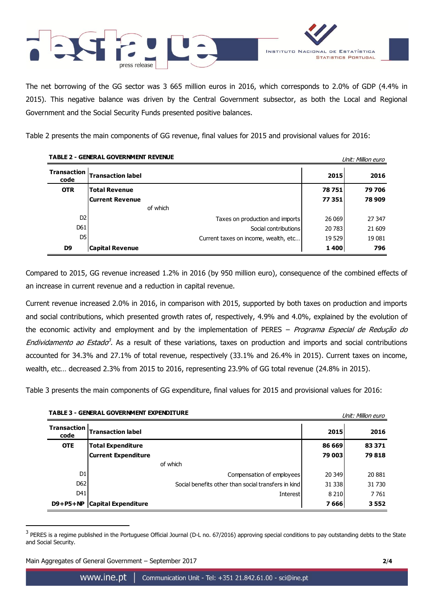

The net borrowing of the GG sector was 3 665 million euros in 2016, which corresponds to 2.0% of GDP (4.4% in 2015). This negative balance was driven by the Central Government subsector, as both the Local and Regional Government and the Social Security Funds presented positive balances.

Table 2 presents the main components of GG revenue, final values for 2015 and provisional values for 2016:

| <b>TABLE 2 - GENERAL GOVERNMENT REVENUE</b><br>Unit: Million euro |                          |                                      |         |        |
|-------------------------------------------------------------------|--------------------------|--------------------------------------|---------|--------|
| <b>Transaction</b><br>code                                        | <b>Transaction label</b> |                                      | 2015    | 2016   |
| <b>OTR</b>                                                        | <b>Total Revenue</b>     |                                      | 78751   | 79 706 |
|                                                                   | Current Revenue          |                                      | 77351   | 78 909 |
|                                                                   |                          | of which                             |         |        |
| D <sub>2</sub>                                                    |                          | Taxes on production and imports      | 26 069  | 27 347 |
| D61                                                               |                          | Social contributions                 | 20 783  | 21 609 |
| DS                                                                |                          | Current taxes on income, wealth, etc | 19 5 29 | 19 081 |
| D9                                                                | Capital Revenue          |                                      | 1400    | 796    |

Compared to 2015, GG revenue increased 1.2% in 2016 (by 950 million euro), consequence of the combined effects of an increase in current revenue and a reduction in capital revenue.

Current revenue increased 2.0% in 2016, in comparison with 2015, supported by both taxes on production and imports and social contributions, which presented growth rates of, respectively, 4.9% and 4.0%, explained by the evolution of the economic activity and employment and by the implementation of PERES – Programa Especial de Redução do Endividamento ao Estado<sup>3</sup>. As a result of these variations, taxes on production and imports and social contributions accounted for 34.3% and 27.1% of total revenue, respectively (33.1% and 26.4% in 2015). Current taxes on income, wealth, etc… decreased 2.3% from 2015 to 2016, representing 23.9% of GG total revenue (24.8% in 2015).

Table 3 presents the main components of GG expenditure, final values for 2015 and provisional values for 2016:

| <b>Transaction</b><br>code | <b>Transaction label</b>                            | 2015    | 2016    |
|----------------------------|-----------------------------------------------------|---------|---------|
| <b>OTE</b>                 | <b>Total Expenditure</b>                            | 86 669  | 83 371  |
|                            | <b>Current Expenditure</b>                          | 79 003  | 79818   |
|                            | of which                                            |         |         |
| D <sub>1</sub>             | Compensation of employees                           | 20 349  | 20881   |
| D <sub>62</sub>            | Social benefits other than social transfers in kind | 31 3 38 | 31 7 30 |
| D41                        | <b>Interest</b>                                     | 8 2 1 0 | 7761    |
| $D9+P5+NP$                 | <b>Capital Expenditure</b>                          | 7666    | 3552    |

**TABLE 3 - GENERAL GOVERNMENT EXPENDITURE Example 20 and Service 20 and Service 20 and Service 20 and Service 20 and Service 20 and Service 20 and Service 20 and Service 20 and Service 20 and Service 20 and Service 20 an** 

Main Aggregates of General Government – September 2017 **2**/**4**

1

 $3$  PERES is a regime published in the Portuguese Official Journal (D-L no. 67/2016) approving special conditions to pay outstanding debts to the State and Social Security.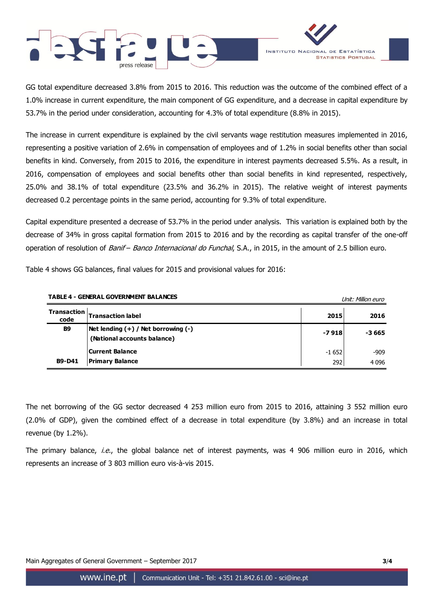



GG total expenditure decreased 3.8% from 2015 to 2016. This reduction was the outcome of the combined effect of a 1.0% increase in current expenditure, the main component of GG expenditure, and a decrease in capital expenditure by 53.7% in the period under consideration, accounting for 4.3% of total expenditure (8.8% in 2015).

The increase in current expenditure is explained by the civil servants wage restitution measures implemented in 2016, representing a positive variation of 2.6% in compensation of employees and of 1.2% in social benefits other than social benefits in kind. Conversely, from 2015 to 2016, the expenditure in interest payments decreased 5.5%. As a result, in 2016, compensation of employees and social benefits other than social benefits in kind represented, respectively, 25.0% and 38.1% of total expenditure (23.5% and 36.2% in 2015). The relative weight of interest payments decreased 0.2 percentage points in the same period, accounting for 9.3% of total expenditure.

Capital expenditure presented a decrease of 53.7% in the period under analysis. This variation is explained both by the decrease of 34% in gross capital formation from 2015 to 2016 and by the recording as capital transfer of the one-off operation of resolution of Banif - Banco Internacional do Funchal, S.A., in 2015, in the amount of 2.5 billion euro.

Table 4 shows GG balances, final values for 2015 and provisional values for 2016:

| <b>TABLE 4 - GENERAL GOVERNMENT BALANCES</b> |                                                                        |         | Unit: Million euro |
|----------------------------------------------|------------------------------------------------------------------------|---------|--------------------|
| <b>Transaction</b><br>code                   | <b>Transaction label</b>                                               | 2015    | 2016               |
| <b>B9</b>                                    | Net lending $(+)$ / Net borrowing $(-)$<br>(National accounts balance) | $-7918$ | -3 665             |
|                                              | Current Balance                                                        | $-1652$ | $-909$             |
| <b>B9-D41</b>                                | Primary Balance                                                        | 292     | 4096               |

The net borrowing of the GG sector decreased 4 253 million euro from 2015 to 2016, attaining 3 552 million euro (2.0% of GDP), given the combined effect of a decrease in total expenditure (by 3.8%) and an increase in total revenue (by 1.2%).

The primary balance, *i.e.*, the global balance net of interest payments, was 4 906 million euro in 2016, which represents an increase of 3 803 million euro vis-à-vis 2015.